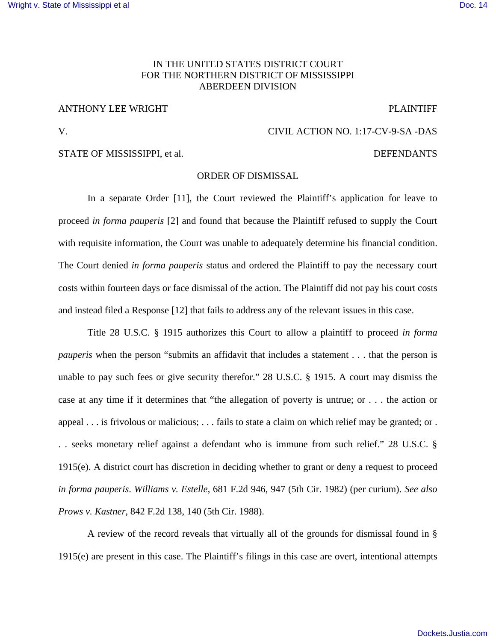### IN THE UNITED STATES DISTRICT COURT FOR THE NORTHERN DISTRICT OF MISSISSIPPI ABERDEEN DIVISION

## ANTHONY LEE WRIGHT PLAINTIFF

### V. CIVIL ACTION NO. 1:17-CV-9-SA -DAS

#### STATE OF MISSISSIPPI, et al.  $\blacksquare$

# ORDER OF DISMISSAL

 In a separate Order [11], the Court reviewed the Plaintiff's application for leave to proceed *in forma pauperis* [2] and found that because the Plaintiff refused to supply the Court with requisite information, the Court was unable to adequately determine his financial condition. The Court denied *in forma pauperis* status and ordered the Plaintiff to pay the necessary court costs within fourteen days or face dismissal of the action. The Plaintiff did not pay his court costs and instead filed a Response [12] that fails to address any of the relevant issues in this case.

Title 28 U.S.C. § 1915 authorizes this Court to allow a plaintiff to proceed *in forma pauperis* when the person "submits an affidavit that includes a statement . . . that the person is unable to pay such fees or give security therefor." 28 U.S.C. § 1915. A court may dismiss the case at any time if it determines that "the allegation of poverty is untrue; or . . . the action or appeal . . . is frivolous or malicious; . . . fails to state a claim on which relief may be granted; or . . . seeks monetary relief against a defendant who is immune from such relief." 28 U.S.C. § 1915(e). A district court has discretion in deciding whether to grant or deny a request to proceed *in forma pauperis*. *Williams v. Estelle*, 681 F.2d 946, 947 (5th Cir. 1982) (per curium). *See also Prows v. Kastner*, 842 F.2d 138, 140 (5th Cir. 1988).

A review of the record reveals that virtually all of the grounds for dismissal found in § 1915(e) are present in this case. The Plaintiff's filings in this case are overt, intentional attempts